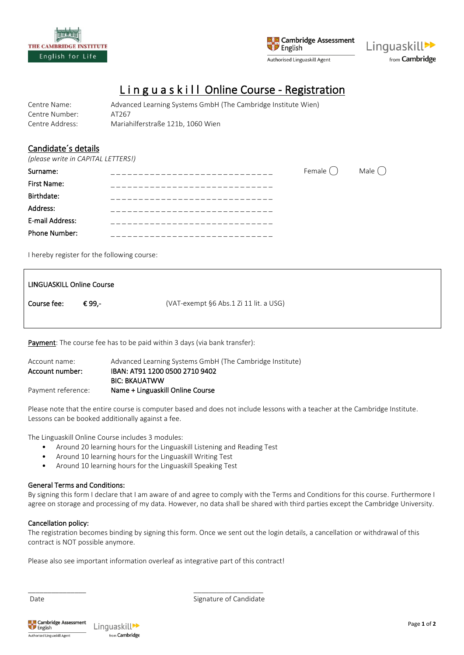



# L i n g u a s k i l l Online Course - Registration

| Centre Name:    | Advanced Learning Systems GmbH (The Cambridge Institute Wien) |
|-----------------|---------------------------------------------------------------|
| Centre Number:  | AT267                                                         |
| Centre Address: | Mariahilferstraße 121b, 1060 Wien                             |

# Candidate´s details

*(please write in CAPITAL LETTERS!)*

| Surname:             | <u> Le Le Le Le Le Le Le Le L</u> e. | Female $\bigcap$ | Male $\bigcap$ |
|----------------------|--------------------------------------|------------------|----------------|
| First Name:          |                                      |                  |                |
| Birthdate:           |                                      |                  |                |
| Address:             |                                      |                  |                |
| E-mail Address:      |                                      |                  |                |
| <b>Phone Number:</b> |                                      |                  |                |

I hereby register for the following course:

| LINGUASKILL Online Course |        |                                        |
|---------------------------|--------|----------------------------------------|
| Course fee:               | € 99.- | (VAT-exempt §6 Abs.1 Zi 11 lit. a USG) |
|                           |        |                                        |

Payment: The course fee has to be paid within 3 days (via bank transfer):

| Account name:      | Advanced Learning Systems GmbH (The Cambridge Institute) |
|--------------------|----------------------------------------------------------|
| Account number:    | IBAN: AT91 1200 0500 2710 9402                           |
|                    | <b>BIC: BKAUATWW</b>                                     |
| Payment reference: | Name + Linguaskill Online Course                         |

Please note that the entire course is computer based and does not include lessons with a teacher at the Cambridge Institute. Lessons can be booked additionally against a fee.

The Linguaskill Online Course includes 3 modules:

- Around 20 learning hours for the Linguaskill Listening and Reading Test
- Around 10 learning hours for the Linguaskill Writing Test
- Around 10 learning hours for the Linguaskill Speaking Test

#### General Terms and Conditions:

By signing this form I declare that I am aware of and agree to comply with the Terms and Conditions for this course. Furthermore I agree on storage and processing of my data. However, no data shall be shared with third parties except the Cambridge University.

#### Cancellation policy:

The registration becomes binding by signing this form. Once we sent out the login details, a cancellation or withdrawal of this contract is NOT possible anymore.

Please also see important information overleaf as integrative part of this contract!

\_\_\_\_\_\_\_\_\_\_\_\_\_\_\_ \_\_\_\_\_\_\_\_\_\_\_\_\_\_\_\_\_\_

Date **Signature of Candidate**